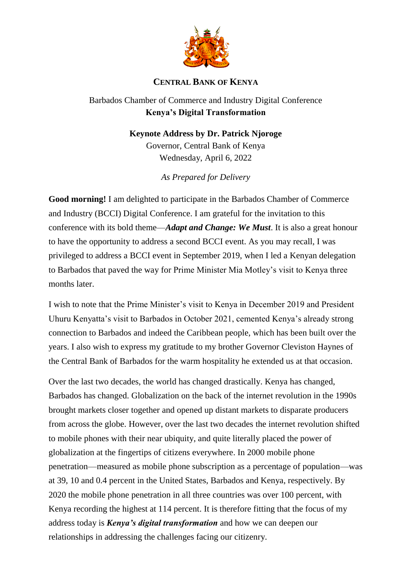

## **CENTRAL BANK OF KENYA**

## Barbados Chamber of Commerce and Industry Digital Conference **Kenya's Digital Transformation**

## **Keynote Address by Dr. Patrick Njoroge**

Governor, Central Bank of Kenya Wednesday, April 6, 2022

*As Prepared for Delivery*

**Good morning!** I am delighted to participate in the Barbados Chamber of Commerce and Industry (BCCI) Digital Conference. I am grateful for the invitation to this conference with its bold theme—*Adapt and Change: We Must*. It is also a great honour to have the opportunity to address a second BCCI event. As you may recall, I was privileged to address a BCCI event in September 2019, when I led a Kenyan delegation to Barbados that paved the way for Prime Minister Mia Motley's visit to Kenya three months later.

I wish to note that the Prime Minister's visit to Kenya in December 2019 and President Uhuru Kenyatta's visit to Barbados in October 2021, cemented Kenya's already strong connection to Barbados and indeed the Caribbean people, which has been built over the years. I also wish to express my gratitude to my brother Governor Cleviston Haynes of the Central Bank of Barbados for the warm hospitality he extended us at that occasion.

Over the last two decades, the world has changed drastically. Kenya has changed, Barbados has changed. Globalization on the back of the internet revolution in the 1990s brought markets closer together and opened up distant markets to disparate producers from across the globe. However, over the last two decades the internet revolution shifted to mobile phones with their near ubiquity, and quite literally placed the power of globalization at the fingertips of citizens everywhere. In 2000 mobile phone penetration—measured as mobile phone subscription as a percentage of population—was at 39, 10 and 0.4 percent in the United States, Barbados and Kenya, respectively. By 2020 the mobile phone penetration in all three countries was over 100 percent, with Kenya recording the highest at 114 percent. It is therefore fitting that the focus of my address today is *Kenya's digital transformation* and how we can deepen our relationships in addressing the challenges facing our citizenry.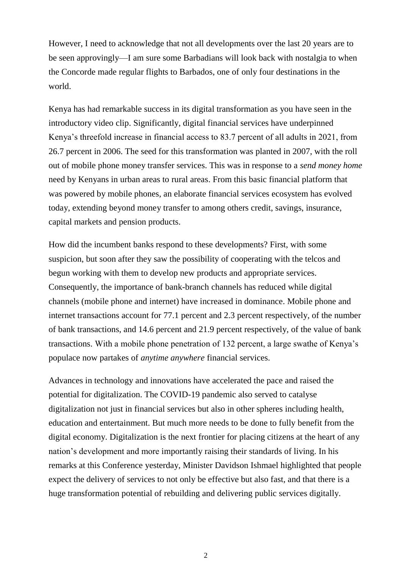However, I need to acknowledge that not all developments over the last 20 years are to be seen approvingly—I am sure some Barbadians will look back with nostalgia to when the Concorde made regular flights to Barbados, one of only four destinations in the world.

Kenya has had remarkable success in its digital transformation as you have seen in the introductory video clip. Significantly, digital financial services have underpinned Kenya's threefold increase in financial access to 83.7 percent of all adults in 2021, from 26.7 percent in 2006. The seed for this transformation was planted in 2007, with the roll out of mobile phone money transfer services. This was in response to a *send money home* need by Kenyans in urban areas to rural areas. From this basic financial platform that was powered by mobile phones, an elaborate financial services ecosystem has evolved today, extending beyond money transfer to among others credit, savings, insurance, capital markets and pension products.

How did the incumbent banks respond to these developments? First, with some suspicion, but soon after they saw the possibility of cooperating with the telcos and begun working with them to develop new products and appropriate services. Consequently, the importance of bank-branch channels has reduced while digital channels (mobile phone and internet) have increased in dominance. Mobile phone and internet transactions account for 77.1 percent and 2.3 percent respectively, of the number of bank transactions, and 14.6 percent and 21.9 percent respectively, of the value of bank transactions. With a mobile phone penetration of 132 percent, a large swathe of Kenya's populace now partakes of *anytime anywhere* financial services.

Advances in technology and innovations have accelerated the pace and raised the potential for digitalization. The COVID-19 pandemic also served to catalyse digitalization not just in financial services but also in other spheres including health, education and entertainment. But much more needs to be done to fully benefit from the digital economy. Digitalization is the next frontier for placing citizens at the heart of any nation's development and more importantly raising their standards of living. In his remarks at this Conference yesterday, Minister Davidson Ishmael highlighted that people expect the delivery of services to not only be effective but also fast, and that there is a huge transformation potential of rebuilding and delivering public services digitally.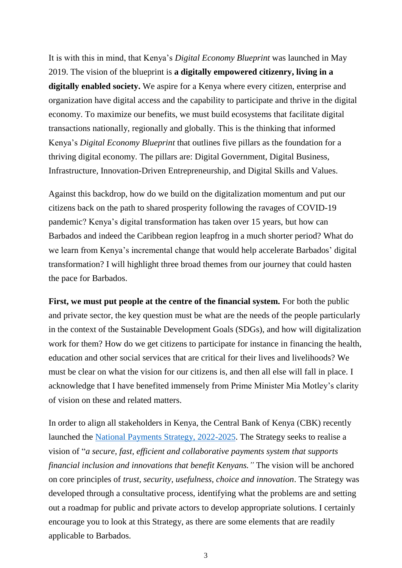It is with this in mind, that Kenya's *Digital Economy Blueprint* was launched in May 2019. The vision of the blueprint is **a digitally empowered citizenry, living in a digitally enabled society.** We aspire for a Kenya where every citizen, enterprise and organization have digital access and the capability to participate and thrive in the digital economy. To maximize our benefits, we must build ecosystems that facilitate digital transactions nationally, regionally and globally. This is the thinking that informed Kenya's *Digital Economy Blueprint* that outlines five pillars as the foundation for a thriving digital economy. The pillars are: Digital Government, Digital Business, Infrastructure, Innovation-Driven Entrepreneurship, and Digital Skills and Values.

Against this backdrop, how do we build on the digitalization momentum and put our citizens back on the path to shared prosperity following the ravages of COVID-19 pandemic? Kenya's digital transformation has taken over 15 years, but how can Barbados and indeed the Caribbean region leapfrog in a much shorter period? What do we learn from Kenya's incremental change that would help accelerate Barbados' digital transformation? I will highlight three broad themes from our journey that could hasten the pace for Barbados.

**First, we must put people at the centre of the financial system.** For both the public and private sector, the key question must be what are the needs of the people particularly in the context of the Sustainable Development Goals (SDGs), and how will digitalization work for them? How do we get citizens to participate for instance in financing the health, education and other social services that are critical for their lives and livelihoods? We must be clear on what the vision for our citizens is, and then all else will fall in place. I acknowledge that I have benefited immensely from Prime Minister Mia Motley's clarity of vision on these and related matters.

In order to align all stakeholders in Kenya, the Central Bank of Kenya (CBK) recently launched the [National Payments Strategy, 2022-2025.](https://www.centralbank.go.ke/wp-content/uploads/2022/02/National-Payments-Strategy-2022-2025.pdf) The Strategy seeks to realise a vision of "*a secure, fast, efficient and collaborative payments system that supports financial inclusion and innovations that benefit Kenyans."* The vision will be anchored on core principles of *trust, security, usefulness, choice and innovation*. The Strategy was developed through a consultative process, identifying what the problems are and setting out a roadmap for public and private actors to develop appropriate solutions. I certainly encourage you to look at this Strategy, as there are some elements that are readily applicable to Barbados.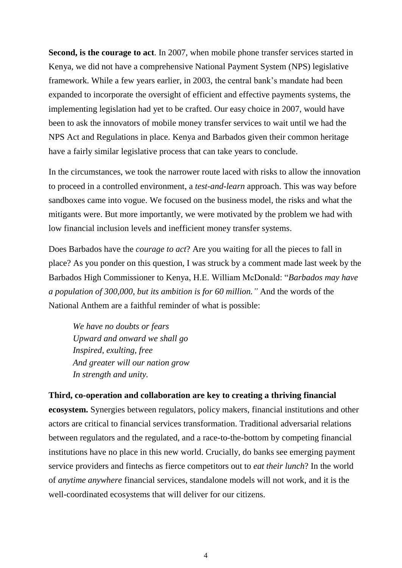**Second, is the courage to act**. In 2007, when mobile phone transfer services started in Kenya, we did not have a comprehensive National Payment System (NPS) legislative framework. While a few years earlier, in 2003, the central bank's mandate had been expanded to incorporate the oversight of efficient and effective payments systems, the implementing legislation had yet to be crafted. Our easy choice in 2007, would have been to ask the innovators of mobile money transfer services to wait until we had the NPS Act and Regulations in place. Kenya and Barbados given their common heritage have a fairly similar legislative process that can take years to conclude.

In the circumstances, we took the narrower route laced with risks to allow the innovation to proceed in a controlled environment, a *test-and-learn* approach. This was way before sandboxes came into vogue. We focused on the business model, the risks and what the mitigants were. But more importantly, we were motivated by the problem we had with low financial inclusion levels and inefficient money transfer systems.

Does Barbados have the *courage to act*? Are you waiting for all the pieces to fall in place? As you ponder on this question, I was struck by a comment made last week by the Barbados High Commissioner to Kenya, H.E. William McDonald: "*Barbados may have a population of 300,000, but its ambition is for 60 million."* And the words of the National Anthem are a faithful reminder of what is possible:

*We have no doubts or fears Upward and onward we shall go Inspired, exulting, free And greater will our nation grow In strength and unity.*

**Third, co-operation and collaboration are key to creating a thriving financial ecosystem.** Synergies between regulators, policy makers, financial institutions and other actors are critical to financial services transformation. Traditional adversarial relations between regulators and the regulated, and a race-to-the-bottom by competing financial institutions have no place in this new world. Crucially, do banks see emerging payment service providers and fintechs as fierce competitors out to *eat their lunch*? In the world of *anytime anywhere* financial services, standalone models will not work, and it is the well-coordinated ecosystems that will deliver for our citizens.